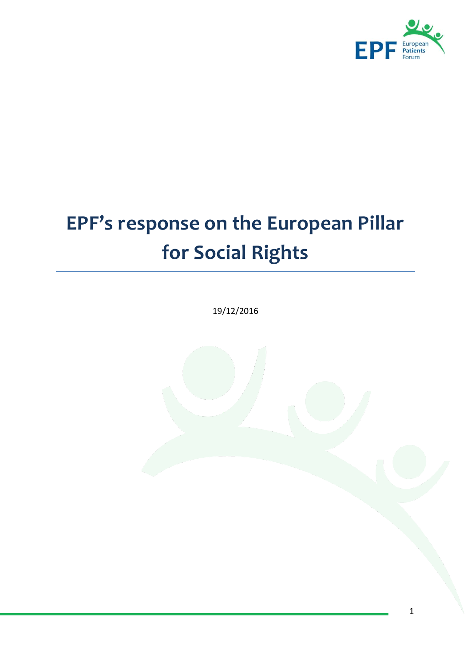

# **EPF's response on the European Pillar for Social Rights**

19/12/2016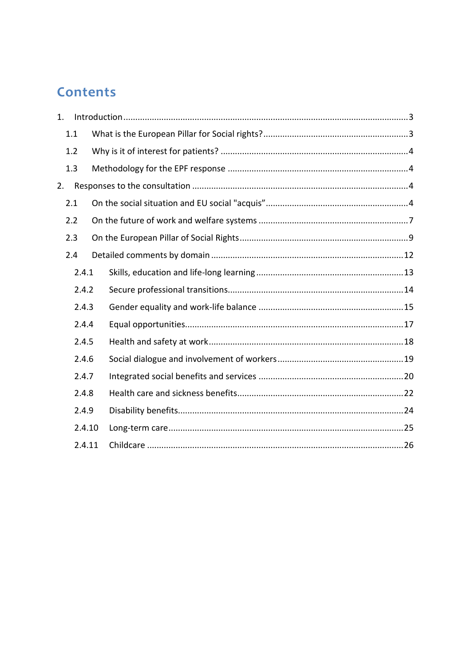# **Contents**

| 1. |        |  |  |
|----|--------|--|--|
|    | 1.1    |  |  |
|    | 1.2    |  |  |
|    | 1.3    |  |  |
| 2. |        |  |  |
|    | 2.1    |  |  |
|    | 2.2    |  |  |
|    | 2.3    |  |  |
|    | 2.4    |  |  |
|    | 2.4.1  |  |  |
|    | 2.4.2  |  |  |
|    | 2.4.3  |  |  |
|    | 2.4.4  |  |  |
|    | 2.4.5  |  |  |
|    | 2.4.6  |  |  |
|    | 2.4.7  |  |  |
|    | 2.4.8  |  |  |
|    | 2.4.9  |  |  |
|    | 2.4.10 |  |  |
|    | 2.4.11 |  |  |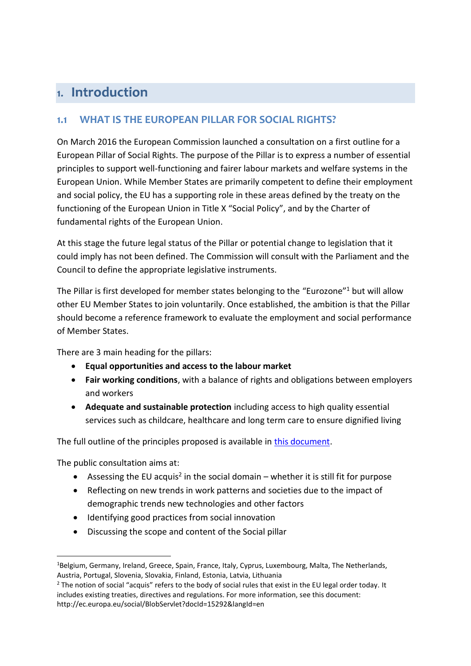# <span id="page-2-0"></span>1. Introduction

# <span id="page-2-1"></span>**1.1 WHAT IS THE EUROPEAN PILLAR FOR SOCIAL RIGHTS?**

On March 2016 the European Commission launched a consultation on a first outline for a European Pillar of Social Rights. The purpose of the Pillar is to express a number of essential principles to support well-functioning and fairer labour markets and welfare systems in the European Union. While Member States are primarily competent to define their employment and social policy, the EU has a supporting role in these areas defined by the treaty on the functioning of the European Union in Title X "Social Policy", and by the Charter of fundamental rights of the European Union.

At this stage the future legal status of the Pillar or potential change to legislation that it could imply has not been defined. The Commission will consult with the Parliament and the Council to define the appropriate legislative instruments.

The Pillar is first developed for member states belonging to the "Eurozone"<sup>1</sup> but will allow other EU Member States to join voluntarily. Once established, the ambition is that the Pillar should become a reference framework to evaluate the employment and social performance of Member States.

There are 3 main heading for the pillars:

- **Equal opportunities and access to the labour market**
- **Fair working conditions**, with a balance of rights and obligations between employers and workers
- **Adequate and sustainable protection** including access to high quality essential services such as childcare, healthcare and long term care to ensure dignified living

The full outline of the principles proposed is available in [this document.](http://ec.europa.eu/social/BlobServlet?docId=15274&langId=en)

The public consultation aims at:

- Assessing the EU acquis<sup>2</sup> in the social domain whether it is still fit for purpose
- Reflecting on new trends in work patterns and societies due to the impact of demographic trends new technologies and other factors
- Identifying good practices from social innovation
- Discussing the scope and content of the Social pillar

<sup>&</sup>lt;sup>1</sup>Belgium, Germany, Ireland, Greece, Spain, France, Italy, Cyprus, Luxembourg, Malta, The Netherlands, Austria, Portugal, Slovenia, Slovakia, Finland, Estonia, Latvia, Lithuania

<sup>&</sup>lt;sup>2</sup> The notion of social "acquis" refers to the body of social rules that exist in the EU legal order today. It includes existing treaties, directives and regulations. For more information, see this document: http://ec.europa.eu/social/BlobServlet?docId=15292&langId=en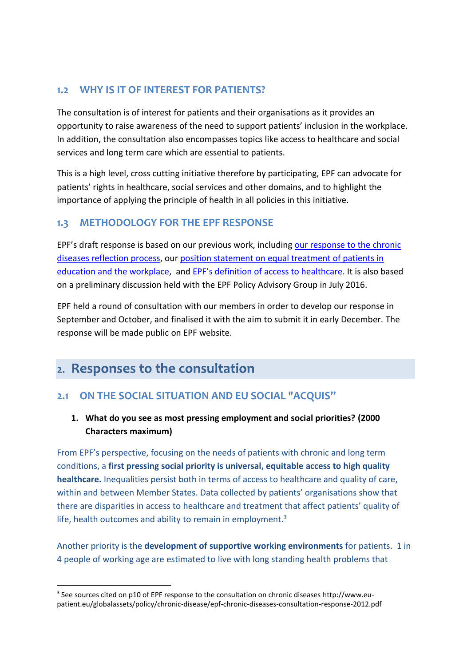# <span id="page-3-0"></span>**1.2 WHY IS IT OF INTEREST FOR PATIENTS?**

The consultation is of interest for patients and their organisations as it provides an opportunity to raise awareness of the need to support patients' inclusion in the workplace. In addition, the consultation also encompasses topics like access to healthcare and social services and long term care which are essential to patients.

This is a high level, cross cutting initiative therefore by participating, EPF can advocate for patients' rights in healthcare, social services and other domains, and to highlight the importance of applying the principle of health in all policies in this initiative.

## <span id="page-3-1"></span>**1.3 METHODOLOGY FOR THE EPF RESPONSE**

EPF's draft response is based on our previous work, including [our response to the chronic](http://www.eu-patient.eu/globalassets/policy/chronic-disease/epf-chronic-diseases-consultation-response-2012.pdf)  [diseases reflection process,](http://www.eu-patient.eu/globalassets/policy/chronic-disease/epf-chronic-diseases-consultation-response-2012.pdf) our [position statement on equal treatment of patients in](http://www.eu-patient.eu/globalassets/policy/anti-discrimmination/epf-position-paper_equal-treatment-in-education-and-employment.pdf)  [education and the workplace,](http://www.eu-patient.eu/globalassets/policy/anti-discrimmination/epf-position-paper_equal-treatment-in-education-and-employment.pdf) and [EPF's definition of access to healthcare](http://www.eu-patient.eu/globalassets/policy/access/epf_position_defining_and_measuring_access_010316.pdf). It is also based on a preliminary discussion held with the EPF Policy Advisory Group in July 2016.

EPF held a round of consultation with our members in order to develop our response in September and October, and finalised it with the aim to submit it in early December. The response will be made public on EPF website.

# <span id="page-3-2"></span>2. Responses to the consultation

-

# <span id="page-3-3"></span>**2.1 ON THE SOCIAL SITUATION AND EU SOCIAL "ACQUIS"**

## **1. What do you see as most pressing employment and social priorities? (2000 Characters maximum)**

From EPF's perspective, focusing on the needs of patients with chronic and long term conditions, a **first pressing social priority is universal, equitable access to high quality healthcare.** Inequalities persist both in terms of access to healthcare and quality of care, within and between Member States. Data collected by patients' organisations show that there are disparities in access to healthcare and treatment that affect patients' quality of life, health outcomes and ability to remain in employment.<sup>3</sup>

Another priority is the **development of supportive working environments** for patients. 1 in 4 people of working age are estimated to live with long standing health problems that

<sup>&</sup>lt;sup>3</sup> See sources cited on p10 of EPF response to the consultation on chronic diseases http://www.eupatient.eu/globalassets/policy/chronic-disease/epf-chronic-diseases-consultation-response-2012.pdf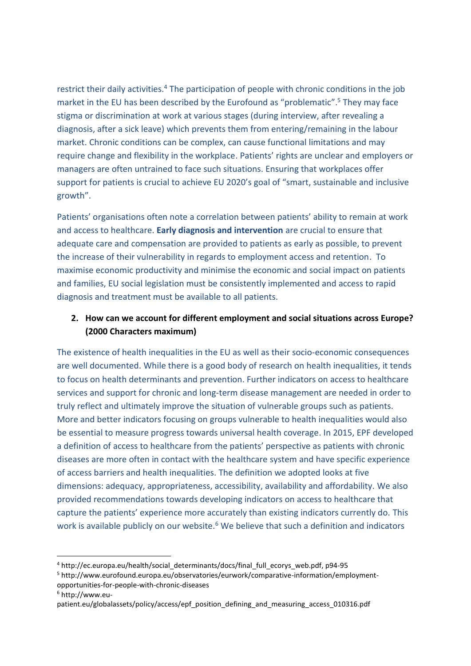restrict their daily activities.<sup>4</sup> The participation of people with chronic conditions in the job market in the EU has been described by the Eurofound as "problematic".<sup>5</sup> They may face stigma or discrimination at work at various stages (during interview, after revealing a diagnosis, after a sick leave) which prevents them from entering/remaining in the labour market. Chronic conditions can be complex, can cause functional limitations and may require change and flexibility in the workplace. Patients' rights are unclear and employers or managers are often untrained to face such situations. Ensuring that workplaces offer support for patients is crucial to achieve EU 2020's goal of "smart, sustainable and inclusive growth".

Patients' organisations often note a correlation between patients' ability to remain at work and access to healthcare. **Early diagnosis and intervention** are crucial to ensure that adequate care and compensation are provided to patients as early as possible, to prevent the increase of their vulnerability in regards to employment access and retention. To maximise economic productivity and minimise the economic and social impact on patients and families, EU social legislation must be consistently implemented and access to rapid diagnosis and treatment must be available to all patients.

#### **2. How can we account for different employment and social situations across Europe? (2000 Characters maximum)**

The existence of health inequalities in the EU as well as their socio-economic consequences are well documented. While there is a good body of research on health inequalities, it tends to focus on health determinants and prevention. Further indicators on access to healthcare services and support for chronic and long-term disease management are needed in order to truly reflect and ultimately improve the situation of vulnerable groups such as patients. More and better indicators focusing on groups vulnerable to health inequalities would also be essential to measure progress towards universal health coverage. In 2015, EPF developed a definition of access to healthcare from the patients' perspective as patients with chronic diseases are more often in contact with the healthcare system and have specific experience of access barriers and health inequalities. The definition we adopted looks at five dimensions: adequacy, appropriateness, accessibility, availability and affordability. We also provided recommendations towards developing indicators on access to healthcare that capture the patients' experience more accurately than existing indicators currently do. This work is available publicly on our website.<sup>6</sup> We believe that such a definition and indicators

<sup>6</sup> http://www.eu-

<sup>4</sup> http://ec.europa.eu/health/social\_determinants/docs/final\_full\_ecorys\_web.pdf, p94-95

<sup>5</sup> http://www.eurofound.europa.eu/observatories/eurwork/comparative-information/employmentopportunities-for-people-with-chronic-diseases

patient.eu/globalassets/policy/access/epf\_position\_defining\_and\_measuring\_access\_010316.pdf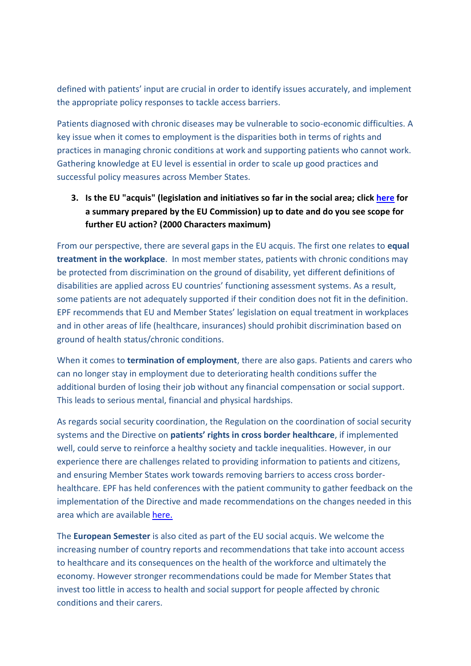defined with patients' input are crucial in order to identify issues accurately, and implement the appropriate policy responses to tackle access barriers.

Patients diagnosed with chronic diseases may be vulnerable to socio-economic difficulties. A key issue when it comes to employment is the disparities both in terms of rights and practices in managing chronic conditions at work and supporting patients who cannot work. Gathering knowledge at EU level is essential in order to scale up good practices and successful policy measures across Member States.

#### **3. Is the EU "acquis" (legislation and initiatives so far in the social area; clic[k here](http://ec.europa.eu/social/BlobServlet?docId=15292&langId=en) for a summary prepared by the EU Commission) up to date and do you see scope for further EU action? (2000 Characters maximum)**

From our perspective, there are several gaps in the EU acquis. The first one relates to **equal treatment in the workplace**. In most member states, patients with chronic conditions may be protected from discrimination on the ground of disability, yet different definitions of disabilities are applied across EU countries' functioning assessment systems. As a result, some patients are not adequately supported if their condition does not fit in the definition. EPF recommends that EU and Member States' legislation on equal treatment in workplaces and in other areas of life (healthcare, insurances) should prohibit discrimination based on ground of health status/chronic conditions.

When it comes to **termination of employment**, there are also gaps. Patients and carers who can no longer stay in employment due to deteriorating health conditions suffer the additional burden of losing their job without any financial compensation or social support. This leads to serious mental, financial and physical hardships.

As regards social security coordination, the Regulation on the coordination of social security systems and the Directive on **patients' rights in cross border healthcare**, if implemented well, could serve to reinforce a healthy society and tackle inequalities. However, in our experience there are challenges related to providing information to patients and citizens, and ensuring Member States work towards removing barriers to access cross borderhealthcare. EPF has held conferences with the patient community to gather feedback on the implementation of the Directive and made recommendations on the changes needed in this area which are availabl[e here.](http://www.eu-patient.eu/globalassets/policy/cross-borderhealthcare/cbhc-summary-report-final_external.pdf)

The **European Semester** is also cited as part of the EU social acquis. We welcome the increasing number of country reports and recommendations that take into account access to healthcare and its consequences on the health of the workforce and ultimately the economy. However stronger recommendations could be made for Member States that invest too little in access to health and social support for people affected by chronic conditions and their carers.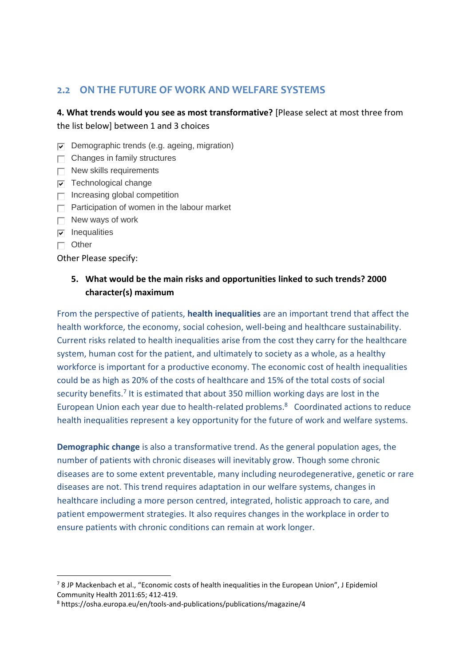#### <span id="page-6-0"></span>**2.2 ON THE FUTURE OF WORK AND WELFARE SYSTEMS**

**4. What trends would you see as most transformative?** [Please select at most three from the list below] between 1 and 3 choices

- $\nabla$  Demographic trends (e.g. ageing, migration)
- $\Box$  Changes in family structures
- $\Box$  New skills requirements
- $\nabla$  Technological change
- $\Box$  Increasing global competition
- $\Box$  Participation of women in the labour market
- $\Box$  New ways of work
- $\nabla$  Inequalities
- $\Box$  Other

1

Other Please specify:

#### **5. What would be the main risks and opportunities linked to such trends? 2000 character(s) maximum**

From the perspective of patients, **health inequalities** are an important trend that affect the health workforce, the economy, social cohesion, well-being and healthcare sustainability. Current risks related to health inequalities arise from the cost they carry for the healthcare system, human cost for the patient, and ultimately to society as a whole, as a healthy workforce is important for a productive economy. The economic cost of health inequalities could be as high as 20% of the costs of healthcare and 15% of the total costs of social security benefits.<sup>7</sup> It is estimated that about 350 million working days are lost in the European Union each year due to health-related problems. 8 Coordinated actions to reduce health inequalities represent a key opportunity for the future of work and welfare systems.

**Demographic change** is also a transformative trend. As the general population ages, the number of patients with chronic diseases will inevitably grow. Though some chronic diseases are to some extent preventable, many including neurodegenerative, genetic or rare diseases are not. This trend requires adaptation in our welfare systems, changes in healthcare including a more person centred, integrated, holistic approach to care, and patient empowerment strategies. It also requires changes in the workplace in order to ensure patients with chronic conditions can remain at work longer.

<sup>&</sup>lt;sup>7</sup> 8 JP Mackenbach et al., "Economic costs of health inequalities in the European Union", J Epidemiol Community Health 2011:65; 412-419.

<sup>8</sup> https://osha.europa.eu/en/tools-and-publications/publications/magazine/4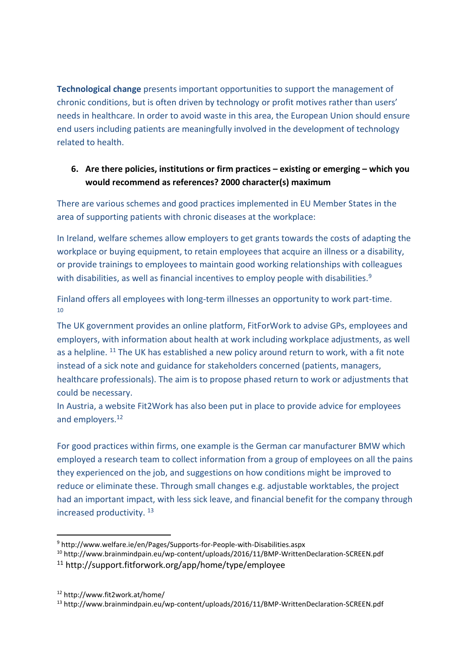**Technological change** presents important opportunities to support the management of chronic conditions, but is often driven by technology or profit motives rather than users' needs in healthcare. In order to avoid waste in this area, the European Union should ensure end users including patients are meaningfully involved in the development of technology related to health.

#### **6. Are there policies, institutions or firm practices – existing or emerging – which you would recommend as references? 2000 character(s) maximum**

There are various schemes and good practices implemented in EU Member States in the area of supporting patients with chronic diseases at the workplace:

In Ireland, welfare schemes allow employers to get grants towards the costs of adapting the workplace or buying equipment, to retain employees that acquire an illness or a disability, or provide trainings to employees to maintain good working relationships with colleagues with disabilities, as well as financial incentives to employ people with disabilities.<sup>9</sup>

Finland offers all employees with long-term illnesses an opportunity to work part-time. 10

The UK government provides an online platform, FitForWork to advise GPs, employees and employers, with information about health at work including workplace adjustments, as well as a helpline. <sup>11</sup> The UK has established a new policy around return to work, with a fit note instead of a sick note and guidance for stakeholders concerned (patients, managers, healthcare professionals). The aim is to propose phased return to work or adjustments that could be necessary.

In Austria, a website Fit2Work has also been put in place to provide advice for employees and employers.<sup>12</sup>

For good practices within firms, one example is the German car manufacturer BMW which employed a research team to collect information from a group of employees on all the pains they experienced on the job, and suggestions on how conditions might be improved to reduce or eliminate these. Through small changes e.g. adjustable worktables, the project had an important impact, with less sick leave, and financial benefit for the company through increased productivity. <sup>13</sup>

<sup>12</sup> http://www.fit2work.at/home/

1

<sup>9</sup> http://www.welfare.ie/en/Pages/Supports-for-People-with-Disabilities.aspx

<sup>10</sup> http://www.brainmindpain.eu/wp-content/uploads/2016/11/BMP-WrittenDeclaration-SCREEN.pdf

<sup>11</sup> http://support.fitforwork.org/app/home/type/employee

<sup>13</sup> http://www.brainmindpain.eu/wp-content/uploads/2016/11/BMP-WrittenDeclaration-SCREEN.pdf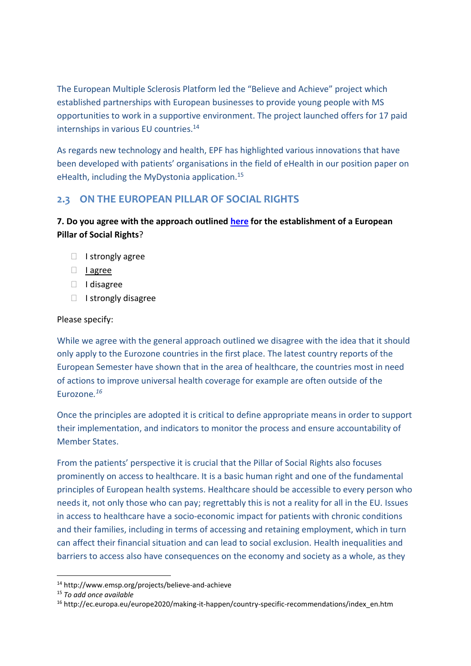The European Multiple Sclerosis Platform led the "Believe and Achieve" project which established partnerships with European businesses to provide young people with MS opportunities to work in a supportive environment. The project launched offers for 17 paid internships in various EU countries.<sup>14</sup>

As regards new technology and health, EPF has highlighted various innovations that have been developed with patients' organisations in the field of eHealth in our position paper on eHealth, including the MyDystonia application.<sup>15</sup>

## <span id="page-8-0"></span>**2.3 ON THE EUROPEAN PILLAR OF SOCIAL RIGHTS**

#### **7. Do you agree with the approach outlined [here](http://eur-lex.europa.eu/legal-content/EN/TXT/?qid=1457706909489&uri=COM:2016:127:FIN) for the establishment of a European Pillar of Social Rights**?

- $\Box$  I strongly agree
- I agree
- I disagree
- $\Box$  I strongly disagree

#### Please specify:

While we agree with the general approach outlined we disagree with the idea that it should only apply to the Eurozone countries in the first place. The latest country reports of the European Semester have shown that in the area of healthcare, the countries most in need of actions to improve universal health coverage for example are often outside of the Eurozone*. 16*

Once the principles are adopted it is critical to define appropriate means in order to support their implementation, and indicators to monitor the process and ensure accountability of Member States.

From the patients' perspective it is crucial that the Pillar of Social Rights also focuses prominently on access to healthcare. It is a basic human right and one of the fundamental principles of European health systems. Healthcare should be accessible to every person who needs it, not only those who can pay; regrettably this is not a reality for all in the EU. Issues in access to healthcare have a socio-economic impact for patients with chronic conditions and their families, including in terms of accessing and retaining employment, which in turn can affect their financial situation and can lead to social exclusion. Health inequalities and barriers to access also have consequences on the economy and society as a whole, as they

1

<sup>14</sup> http://www.emsp.org/projects/believe-and-achieve

<sup>15</sup> *To add once available*

<sup>16</sup> http://ec.europa.eu/europe2020/making-it-happen/country-specific-recommendations/index\_en.htm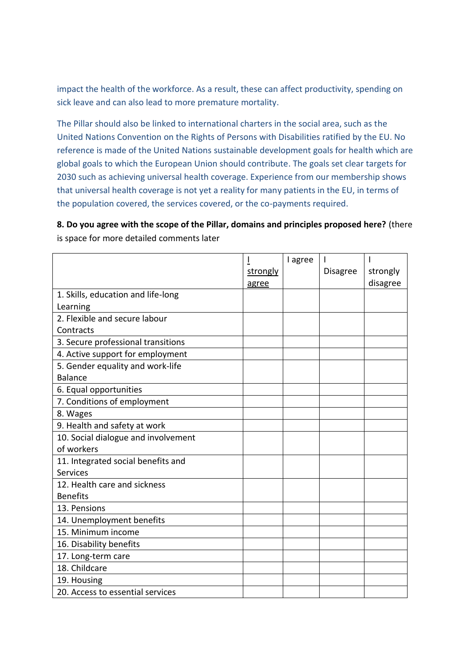impact the health of the workforce. As a result, these can affect productivity, spending on sick leave and can also lead to more premature mortality.

The Pillar should also be linked to international charters in the social area, such as the United Nations Convention on the Rights of Persons with Disabilities ratified by the EU. No reference is made of the United Nations sustainable development goals for health which are global goals to which the European Union should contribute. The goals set clear targets for 2030 such as achieving universal health coverage. Experience from our membership shows that universal health coverage is not yet a reality for many patients in the EU, in terms of the population covered, the services covered, or the co-payments required.

**8. Do you agree with the scope of the Pillar, domains and principles proposed here?** (there is space for more detailed comments later

|                                     |          | I agree |                 |          |
|-------------------------------------|----------|---------|-----------------|----------|
|                                     | strongly |         | <b>Disagree</b> | strongly |
|                                     | agree    |         |                 | disagree |
| 1. Skills, education and life-long  |          |         |                 |          |
| Learning                            |          |         |                 |          |
| 2. Flexible and secure labour       |          |         |                 |          |
| Contracts                           |          |         |                 |          |
| 3. Secure professional transitions  |          |         |                 |          |
| 4. Active support for employment    |          |         |                 |          |
| 5. Gender equality and work-life    |          |         |                 |          |
| <b>Balance</b>                      |          |         |                 |          |
| 6. Equal opportunities              |          |         |                 |          |
| 7. Conditions of employment         |          |         |                 |          |
| 8. Wages                            |          |         |                 |          |
| 9. Health and safety at work        |          |         |                 |          |
| 10. Social dialogue and involvement |          |         |                 |          |
| of workers                          |          |         |                 |          |
| 11. Integrated social benefits and  |          |         |                 |          |
| <b>Services</b>                     |          |         |                 |          |
| 12. Health care and sickness        |          |         |                 |          |
| <b>Benefits</b>                     |          |         |                 |          |
| 13. Pensions                        |          |         |                 |          |
| 14. Unemployment benefits           |          |         |                 |          |
| 15. Minimum income                  |          |         |                 |          |
| 16. Disability benefits             |          |         |                 |          |
| 17. Long-term care                  |          |         |                 |          |
| 18. Childcare                       |          |         |                 |          |
| 19. Housing                         |          |         |                 |          |
| 20. Access to essential services    |          |         |                 |          |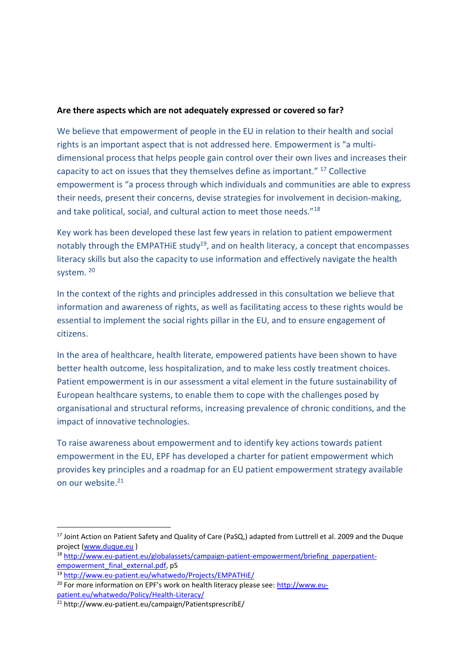#### **Are there aspects which are not adequately expressed or covered so far?**

We believe that empowerment of people in the EU in relation to their health and social rights is an important aspect that is not addressed here. Empowerment is "a multidimensional process that helps people gain control over their own lives and increases their capacity to act on issues that they themselves define as important." <sup>17</sup> Collective empowerment is "a process through which individuals and communities are able to express their needs, present their concerns, devise strategies for involvement in decision-making, and take political, social, and cultural action to meet those needs."<sup>18</sup>

Key work has been developed these last few years in relation to patient empowerment notably through the EMPATHIE study<sup>19</sup>, and on health literacy, a concept that encompasses literacy skills but also the capacity to use information and effectively navigate the health system. 20

In the context of the rights and principles addressed in this consultation we believe that information and awareness of rights, as well as facilitating access to these rights would be essential to implement the social rights pillar in the EU, and to ensure engagement of citizens.

In the area of healthcare, health literate, empowered patients have been shown to have better health outcome, less hospitalization, and to make less costly treatment choices. Patient empowerment is in our assessment a vital element in the future sustainability of European healthcare systems, to enable them to cope with the challenges posed by organisational and structural reforms, increasing prevalence of chronic conditions, and the impact of innovative technologies.

To raise awareness about empowerment and to identify key actions towards patient empowerment in the EU, EPF has developed a charter for patient empowerment which provides key principles and a roadmap for an EU patient empowerment strategy available on our website. 21

<sup>&</sup>lt;sup>17</sup> Joint Action on Patient Safety and Quality of Care (PaSQ,) adapted from Luttrell et al. 2009 and the Duque project [\(www.duque.eu](http://www.duque.eu/))

<sup>&</sup>lt;sup>18</sup> [http://www.eu-patient.eu/globalassets/campaign-patient-empowerment/briefing\\_paperpatient](http://www.eu-patient.eu/globalassets/campaign-patient-empowerment/briefing_paperpatient-empowerment_final_external.pdf)[empowerment\\_final\\_external.pdf,](http://www.eu-patient.eu/globalassets/campaign-patient-empowerment/briefing_paperpatient-empowerment_final_external.pdf) p5

<sup>19</sup> <http://www.eu-patient.eu/whatwedo/Projects/EMPATHiE/>

<sup>&</sup>lt;sup>20</sup> For more information on EPF's work on health literacy please see: [http://www.eu](http://www.eu-patient.eu/whatwedo/Policy/Health-Literacy/)[patient.eu/whatwedo/Policy/Health-Literacy/](http://www.eu-patient.eu/whatwedo/Policy/Health-Literacy/)

<sup>21</sup> http://www.eu-patient.eu/campaign/PatientsprescribE/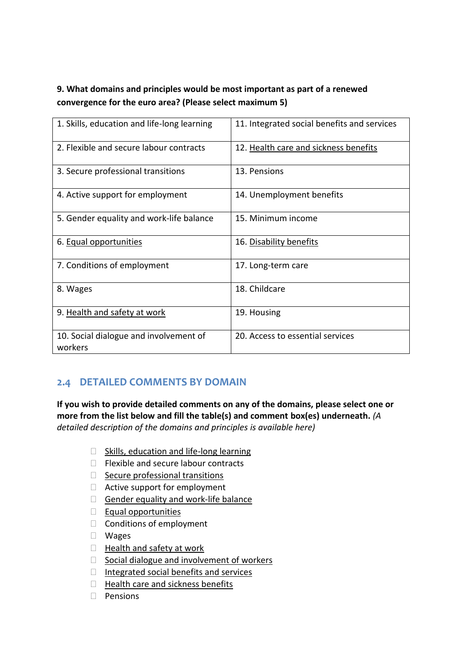# **9. What domains and principles would be most important as part of a renewed convergence for the euro area? (Please select maximum 5)**

| 1. Skills, education and life-long learning       | 11. Integrated social benefits and services |
|---------------------------------------------------|---------------------------------------------|
| 2. Flexible and secure labour contracts           | 12. Health care and sickness benefits       |
| 3. Secure professional transitions                | 13. Pensions                                |
| 4. Active support for employment                  | 14. Unemployment benefits                   |
| 5. Gender equality and work-life balance          | 15. Minimum income                          |
| 6. Equal opportunities                            | 16. Disability benefits                     |
| 7. Conditions of employment                       | 17. Long-term care                          |
| 8. Wages                                          | 18. Childcare                               |
| 9. Health and safety at work                      | 19. Housing                                 |
| 10. Social dialogue and involvement of<br>workers | 20. Access to essential services            |

# <span id="page-11-0"></span>**2.4 DETAILED COMMENTS BY DOMAIN**

**If you wish to provide detailed comments on any of the domains, please select one or more from the list below and fill the table(s) and comment box(es) underneath.** *(A detailed description of the domains and principles is available here)*

- $\Box$  Skills, education and life-long learning
- $\Box$  Flexible and secure labour contracts
- $\Box$  Secure professional transitions
- $\Box$  Active support for employment
- Gender equality and work-life balance
- $\Box$  Equal opportunities
- $\Box$  Conditions of employment
- Wages
- $\Box$  Health and safety at work
- $\Box$  Social dialogue and involvement of workers
- Integrated social benefits and services
- $\Box$  Health care and sickness benefits
- $\Box$  Pensions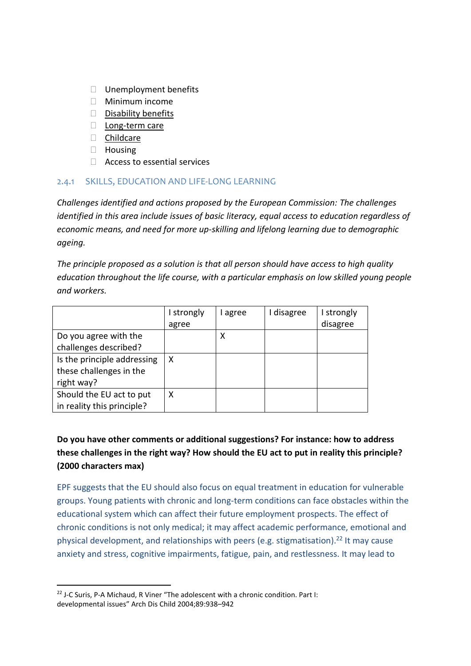- $\Box$  Unemployment benefits
- $\Box$  Minimum income
- $\square$  Disability benefits
- D Long-term care
- D Childcare
- $\Box$  Housing
- $\Box$  Access to essential services

#### <span id="page-12-0"></span>2.4.1 SKILLS, EDUCATION AND LIFE-LONG LEARNING

*Challenges identified and actions proposed by the European Commission: The challenges identified in this area include issues of basic literacy, equal access to education regardless of economic means, and need for more up-skilling and lifelong learning due to demographic ageing.* 

*The principle proposed as a solution is that all person should have access to high quality education throughout the life course, with a particular emphasis on low skilled young people and workers.*

|                             | I strongly | agree | disagree | I strongly |
|-----------------------------|------------|-------|----------|------------|
|                             | agree      |       |          | disagree   |
| Do you agree with the       |            | х     |          |            |
| challenges described?       |            |       |          |            |
| Is the principle addressing | X          |       |          |            |
| these challenges in the     |            |       |          |            |
| right way?                  |            |       |          |            |
| Should the EU act to put    | X          |       |          |            |
| in reality this principle?  |            |       |          |            |

## **Do you have other comments or additional suggestions? For instance: how to address these challenges in the right way? How should the EU act to put in reality this principle? (2000 characters max)**

EPF suggests that the EU should also focus on equal treatment in education for vulnerable groups. Young patients with chronic and long-term conditions can face obstacles within the educational system which can affect their future employment prospects. The effect of chronic conditions is not only medical; it may affect academic performance, emotional and physical development, and relationships with peers (e.g. stigmatisation). <sup>22</sup> It may cause anxiety and stress, cognitive impairments, fatigue, pain, and restlessness. It may lead to

 $22$  J-C Suris, P-A Michaud, R Viner "The adolescent with a chronic condition. Part I: developmental issues" Arch Dis Child 2004;89:938–942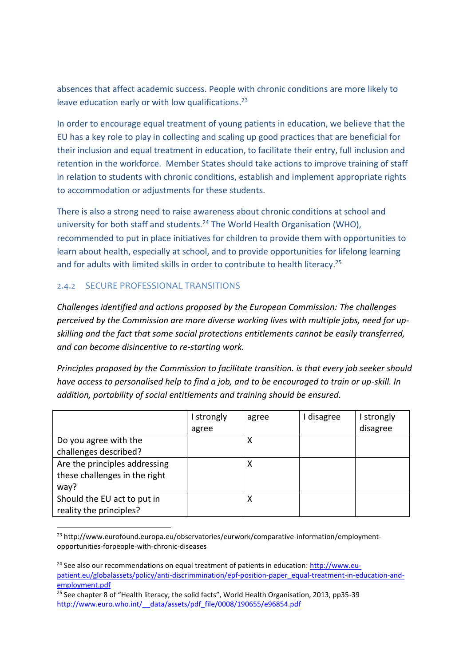absences that affect academic success. People with chronic conditions are more likely to leave education early or with low qualifications.<sup>23</sup>

In order to encourage equal treatment of young patients in education, we believe that the EU has a key role to play in collecting and scaling up good practices that are beneficial for their inclusion and equal treatment in education, to facilitate their entry, full inclusion and retention in the workforce. Member States should take actions to improve training of staff in relation to students with chronic conditions, establish and implement appropriate rights to accommodation or adjustments for these students.

There is also a strong need to raise awareness about chronic conditions at school and university for both staff and students.<sup>24</sup> The World Health Organisation (WHO), recommended to put in place initiatives for children to provide them with opportunities to learn about health, especially at school, and to provide opportunities for lifelong learning and for adults with limited skills in order to contribute to health literacy.<sup>25</sup>

#### <span id="page-13-0"></span>2.4.2 SECURE PROFESSIONAL TRANSITIONS

*Challenges identified and actions proposed by the European Commission: The challenges perceived by the Commission are more diverse working lives with multiple jobs, need for upskilling and the fact that some social protections entitlements cannot be easily transferred, and can become disincentive to re-starting work.* 

*Principles proposed by the Commission to facilitate transition. is that every job seeker should have access to personalised help to find a job, and to be encouraged to train or up-skill. In addition, portability of social entitlements and training should be ensured.*

|                               | I strongly | agree | I disagree | strongly |
|-------------------------------|------------|-------|------------|----------|
|                               | agree      |       |            | disagree |
| Do you agree with the         |            | χ     |            |          |
| challenges described?         |            |       |            |          |
| Are the principles addressing |            |       |            |          |
| these challenges in the right |            |       |            |          |
| way?                          |            |       |            |          |
| Should the EU act to put in   |            |       |            |          |
| reality the principles?       |            |       |            |          |

<sup>-</sup><sup>23</sup> http://www.eurofound.europa.eu/observatories/eurwork/comparative-information/employmentopportunities-forpeople-with-chronic-diseases

 $24$  See also our recommendations on equal treatment of patients in education: [http://www.eu](http://www.eu-patient.eu/globalassets/policy/anti-discrimmination/epf-position-paper_equal-treatment-in-education-and-employment.pdf)[patient.eu/globalassets/policy/anti-discrimmination/epf-position-paper\\_equal-treatment-in-education-and](http://www.eu-patient.eu/globalassets/policy/anti-discrimmination/epf-position-paper_equal-treatment-in-education-and-employment.pdf)[employment.pdf](http://www.eu-patient.eu/globalassets/policy/anti-discrimmination/epf-position-paper_equal-treatment-in-education-and-employment.pdf)

 $25$  See chapter 8 of "Health literacy, the solid facts", World Health Organisation, 2013, pp35-39 [http://www.euro.who.int/\\_\\_data/assets/pdf\\_file/0008/190655/e96854.pdf](http://www.euro.who.int/__data/assets/pdf_file/0008/190655/e96854.pdf)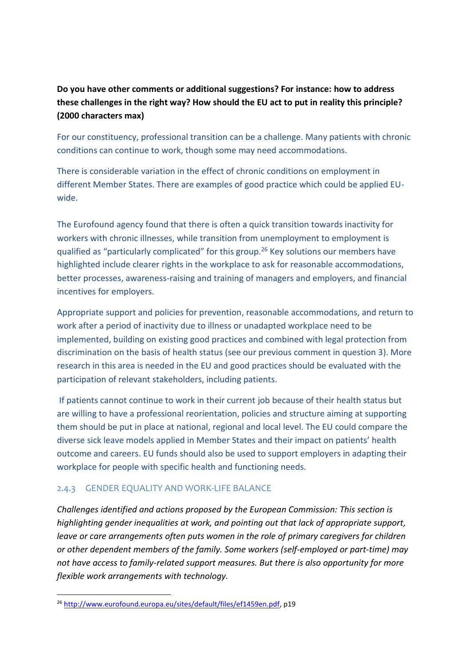# **Do you have other comments or additional suggestions? For instance: how to address these challenges in the right way? How should the EU act to put in reality this principle? (2000 characters max)**

For our constituency, professional transition can be a challenge. Many patients with chronic conditions can continue to work, though some may need accommodations.

There is considerable variation in the effect of chronic conditions on employment in different Member States. There are examples of good practice which could be applied EUwide.

The Eurofound agency found that there is often a quick transition towards inactivity for workers with chronic illnesses, while transition from unemployment to employment is qualified as "particularly complicated" for this group.<sup>26</sup> Key solutions our members have highlighted include clearer rights in the workplace to ask for reasonable accommodations, better processes, awareness-raising and training of managers and employers, and financial incentives for employers.

Appropriate support and policies for prevention, reasonable accommodations, and return to work after a period of inactivity due to illness or unadapted workplace need to be implemented, building on existing good practices and combined with legal protection from discrimination on the basis of health status (see our previous comment in question 3). More research in this area is needed in the EU and good practices should be evaluated with the participation of relevant stakeholders, including patients.

If patients cannot continue to work in their current job because of their health status but are willing to have a professional reorientation, policies and structure aiming at supporting them should be put in place at national, regional and local level. The EU could compare the diverse sick leave models applied in Member States and their impact on patients' health outcome and careers. EU funds should also be used to support employers in adapting their workplace for people with specific health and functioning needs.

#### <span id="page-14-0"></span>2.4.3 GENDER EQUALITY AND WORK-LIFE BALANCE

*Challenges identified and actions proposed by the European Commission: This section is highlighting gender inequalities at work, and pointing out that lack of appropriate support, leave or care arrangements often puts women in the role of primary caregivers for children or other dependent members of the family. Some workers (self-employed or part-time) may not have access to family-related support measures. But there is also opportunity for more flexible work arrangements with technology.*

1

<sup>26</sup> [http://www.eurofound.europa.eu/sites/default/files/ef1459en.pdf,](http://www.eurofound.europa.eu/sites/default/files/ef1459en.pdf) p19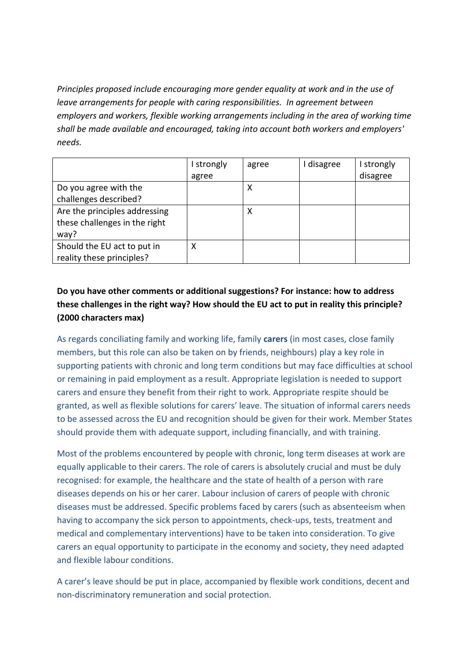*Principles proposed include encouraging more gender equality at work and in the use of leave arrangements for people with caring responsibilities. In agreement between employers and workers, flexible working arrangements including in the area of working time shall be made available and encouraged, taking into account both workers and employers' needs.*

|                               | I strongly | agree | I disagree | I strongly |
|-------------------------------|------------|-------|------------|------------|
|                               | agree      |       |            | disagree   |
| Do you agree with the         |            | х     |            |            |
| challenges described?         |            |       |            |            |
| Are the principles addressing |            |       |            |            |
| these challenges in the right |            |       |            |            |
| way?                          |            |       |            |            |
| Should the EU act to put in   | χ          |       |            |            |
| reality these principles?     |            |       |            |            |

# **Do you have other comments or additional suggestions? For instance: how to address these challenges in the right way? How should the EU act to put in reality this principle? (2000 characters max)**

As regards conciliating family and working life, family **carers** (in most cases, close family members, but this role can also be taken on by friends, neighbours) play a key role in supporting patients with chronic and long term conditions but may face difficulties at school or remaining in paid employment as a result. Appropriate legislation is needed to support carers and ensure they benefit from their right to work. Appropriate respite should be granted, as well as flexible solutions for carers' leave. The situation of informal carers needs to be assessed across the EU and recognition should be given for their work. Member States should provide them with adequate support, including financially, and with training.

Most of the problems encountered by people with chronic, long term diseases at work are equally applicable to their carers. The role of carers is absolutely crucial and must be duly recognised: for example, the healthcare and the state of health of a person with rare diseases depends on his or her carer. Labour inclusion of carers of people with chronic diseases must be addressed. Specific problems faced by carers (such as absenteeism when having to accompany the sick person to appointments, check-ups, tests, treatment and medical and complementary interventions) have to be taken into consideration. To give carers an equal opportunity to participate in the economy and society, they need adapted and flexible labour conditions.

A carer's leave should be put in place, accompanied by flexible work conditions, decent and non-discriminatory remuneration and social protection.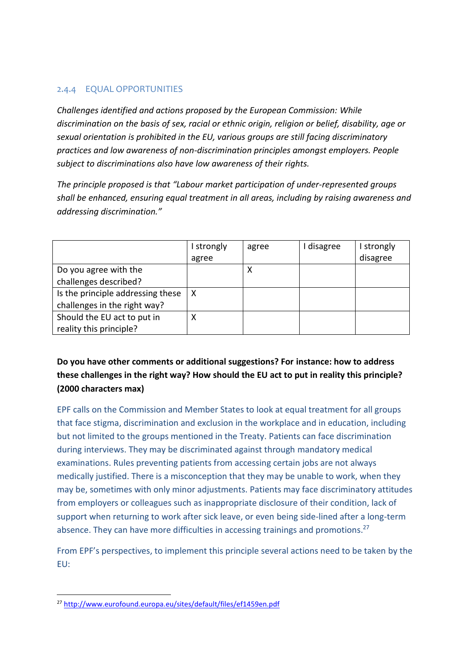#### <span id="page-16-0"></span>2.4.4 EQUAL OPPORTUNITIES

*Challenges identified and actions proposed by the European Commission: While discrimination on the basis of sex, racial or ethnic origin, religion or belief, disability, age or sexual orientation is prohibited in the EU, various groups are still facing discriminatory practices and low awareness of non-discrimination principles amongst employers. People subject to discriminations also have low awareness of their rights.*

*The principle proposed is that "Labour market participation of under-represented groups shall be enhanced, ensuring equal treatment in all areas, including by raising awareness and addressing discrimination."*

|                                   | I strongly | agree | I disagree | I strongly |
|-----------------------------------|------------|-------|------------|------------|
|                                   | agree      |       |            | disagree   |
| Do you agree with the             |            | х     |            |            |
| challenges described?             |            |       |            |            |
| Is the principle addressing these | X          |       |            |            |
| challenges in the right way?      |            |       |            |            |
| Should the EU act to put in       |            |       |            |            |
| reality this principle?           |            |       |            |            |

## **Do you have other comments or additional suggestions? For instance: how to address these challenges in the right way? How should the EU act to put in reality this principle? (2000 characters max)**

EPF calls on the Commission and Member States to look at equal treatment for all groups that face stigma, discrimination and exclusion in the workplace and in education, including but not limited to the groups mentioned in the Treaty. Patients can face discrimination during interviews. They may be discriminated against through mandatory medical examinations. Rules preventing patients from accessing certain jobs are not always medically justified. There is a misconception that they may be unable to work, when they may be, sometimes with only minor adjustments. Patients may face discriminatory attitudes from employers or colleagues such as inappropriate disclosure of their condition, lack of support when returning to work after sick leave, or even being side-lined after a long-term absence. They can have more difficulties in accessing trainings and promotions.<sup>27</sup>

From EPF's perspectives, to implement this principle several actions need to be taken by the EU:

1

<sup>27</sup> <http://www.eurofound.europa.eu/sites/default/files/ef1459en.pdf>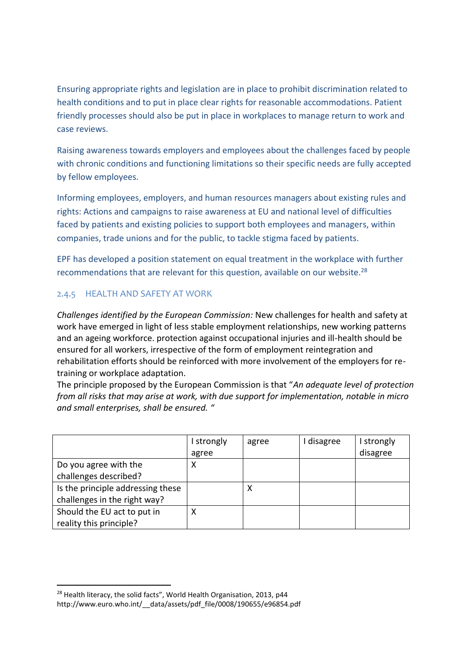Ensuring appropriate rights and legislation are in place to prohibit discrimination related to health conditions and to put in place clear rights for reasonable accommodations. Patient friendly processes should also be put in place in workplaces to manage return to work and case reviews.

Raising awareness towards employers and employees about the challenges faced by people with chronic conditions and functioning limitations so their specific needs are fully accepted by fellow employees.

Informing employees, employers, and human resources managers about existing rules and rights: Actions and campaigns to raise awareness at EU and national level of difficulties faced by patients and existing policies to support both employees and managers, within companies, trade unions and for the public, to tackle stigma faced by patients.

EPF has developed a position statement on equal treatment in the workplace with further recommendations that are relevant for this question, available on our website.<sup>28</sup>

#### <span id="page-17-0"></span>2.4.5 HEALTH AND SAFETY AT WORK

*Challenges identified by the European Commission:* New challenges for health and safety at work have emerged in light of less stable employment relationships, new working patterns and an ageing workforce. protection against occupational injuries and ill-health should be ensured for all workers, irrespective of the form of employment reintegration and rehabilitation efforts should be reinforced with more involvement of the employers for retraining or workplace adaptation.

The principle proposed by the European Commission is that "*An adequate level of protection from all risks that may arise at work, with due support for implementation, notable in micro and small enterprises, shall be ensured. "*

|                                   | I strongly | agree | I disagree | I strongly |
|-----------------------------------|------------|-------|------------|------------|
|                                   | agree      |       |            | disagree   |
| Do you agree with the             | х          |       |            |            |
| challenges described?             |            |       |            |            |
| Is the principle addressing these |            | х     |            |            |
| challenges in the right way?      |            |       |            |            |
| Should the EU act to put in       | л          |       |            |            |
| reality this principle?           |            |       |            |            |

<sup>-</sup><sup>28</sup> Health literacy, the solid facts", World Health Organisation, 2013, p44 http://www.euro.who.int/ data/assets/pdf file/0008/190655/e96854.pdf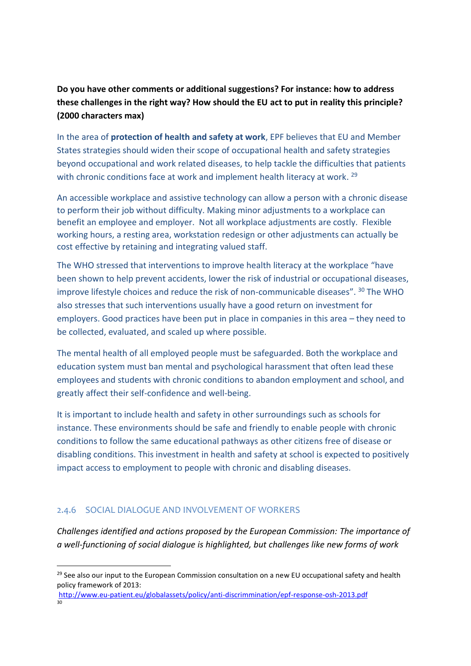# **Do you have other comments or additional suggestions? For instance: how to address these challenges in the right way? How should the EU act to put in reality this principle? (2000 characters max)**

In the area of **protection of health and safety at work**, EPF believes that EU and Member States strategies should widen their scope of occupational health and safety strategies beyond occupational and work related diseases, to help tackle the difficulties that patients with chronic conditions face at work and implement health literacy at work.<sup>29</sup>

An accessible workplace and assistive technology can allow a person with a chronic disease to perform their job without difficulty. Making minor adjustments to a workplace can benefit an employee and employer. Not all workplace adjustments are costly. Flexible working hours, a resting area, workstation redesign or other adjustments can actually be cost effective by retaining and integrating valued staff.

The WHO stressed that interventions to improve health literacy at the workplace "have been shown to help prevent accidents, lower the risk of industrial or occupational diseases, improve lifestyle choices and reduce the risk of non-communicable diseases". <sup>30</sup> The WHO also stresses that such interventions usually have a good return on investment for employers. Good practices have been put in place in companies in this area – they need to be collected, evaluated, and scaled up where possible.

The mental health of all employed people must be safeguarded. Both the workplace and education system must ban mental and psychological harassment that often lead these employees and students with chronic conditions to abandon employment and school, and greatly affect their self-confidence and well-being.

It is important to include health and safety in other surroundings such as schools for instance. These environments should be safe and friendly to enable people with chronic conditions to follow the same educational pathways as other citizens free of disease or disabling conditions. This investment in health and safety at school is expected to positively impact access to employment to people with chronic and disabling diseases.

#### <span id="page-18-0"></span>2.4.6 SOCIAL DIALOGUE AND INVOLVEMENT OF WORKERS

-

*Challenges identified and actions proposed by the European Commission: The importance of a well-functioning of social dialogue is highlighted, but challenges like new forms of work* 

<http://www.eu-patient.eu/globalassets/policy/anti-discrimmination/epf-response-osh-2013.pdf>  $30<sub>2</sub>$ 

<sup>&</sup>lt;sup>29</sup> See also our input to the European Commission consultation on a new EU occupational safety and health policy framework of 2013: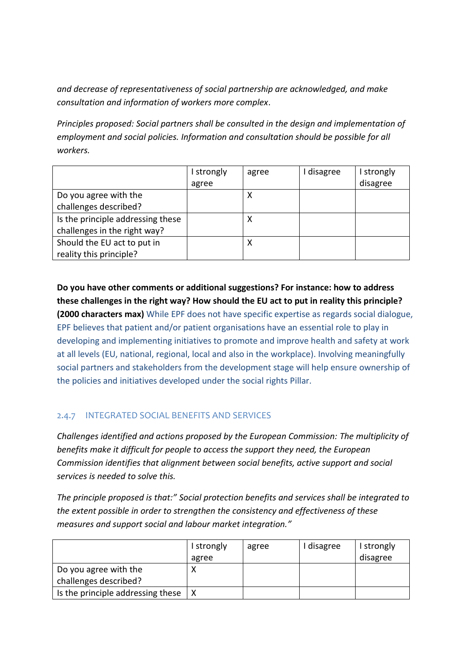*and decrease of representativeness of social partnership are acknowledged, and make consultation and information of workers more complex*.

*Principles proposed: Social partners shall be consulted in the design and implementation of employment and social policies. Information and consultation should be possible for all workers.*

|                                   | I strongly | agree | I disagree | I strongly |
|-----------------------------------|------------|-------|------------|------------|
|                                   | agree      |       |            | disagree   |
| Do you agree with the             |            | ↗     |            |            |
| challenges described?             |            |       |            |            |
| Is the principle addressing these |            | ⋏     |            |            |
| challenges in the right way?      |            |       |            |            |
| Should the EU act to put in       |            |       |            |            |
| reality this principle?           |            |       |            |            |

**Do you have other comments or additional suggestions? For instance: how to address these challenges in the right way? How should the EU act to put in reality this principle? (2000 characters max)** While EPF does not have specific expertise as regards social dialogue, EPF believes that patient and/or patient organisations have an essential role to play in developing and implementing initiatives to promote and improve health and safety at work at all levels (EU, national, regional, local and also in the workplace). Involving meaningfully social partners and stakeholders from the development stage will help ensure ownership of the policies and initiatives developed under the social rights Pillar.

#### <span id="page-19-0"></span>2.4.7 INTEGRATED SOCIAL BENEFITS AND SERVICES

*Challenges identified and actions proposed by the European Commission: The multiplicity of benefits make it difficult for people to access the support they need, the European Commission identifies that alignment between social benefits, active support and social services is needed to solve this.*

*The principle proposed is that:" Social protection benefits and services shall be integrated to the extent possible in order to strengthen the consistency and effectiveness of these measures and support social and labour market integration."*

|                                   | I strongly<br>agree | agree | I disagree | I strongly<br>disagree |
|-----------------------------------|---------------------|-------|------------|------------------------|
| Do you agree with the             |                     |       |            |                        |
| challenges described?             |                     |       |            |                        |
| Is the principle addressing these |                     |       |            |                        |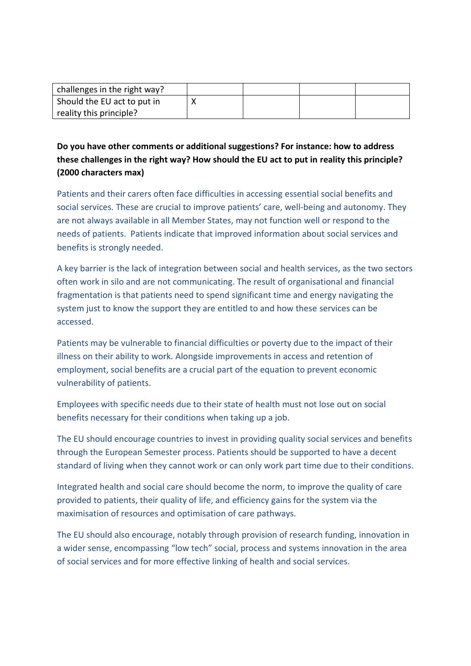| challenges in the right way? |  |  |
|------------------------------|--|--|
| Should the EU act to put in  |  |  |
| reality this principle?      |  |  |

**Do you have other comments or additional suggestions? For instance: how to address these challenges in the right way? How should the EU act to put in reality this principle? (2000 characters max)**

Patients and their carers often face difficulties in accessing essential social benefits and social services. These are crucial to improve patients' care, well-being and autonomy. They are not always available in all Member States, may not function well or respond to the needs of patients. Patients indicate that improved information about social services and benefits is strongly needed.

A key barrier is the lack of integration between social and health services, as the two sectors often work in silo and are not communicating. The result of organisational and financial fragmentation is that patients need to spend significant time and energy navigating the system just to know the support they are entitled to and how these services can be accessed.

Patients may be vulnerable to financial difficulties or poverty due to the impact of their illness on their ability to work. Alongside improvements in access and retention of employment, social benefits are a crucial part of the equation to prevent economic vulnerability of patients.

Employees with specific needs due to their state of health must not lose out on social benefits necessary for their conditions when taking up a job.

The EU should encourage countries to invest in providing quality social services and benefits through the European Semester process. Patients should be supported to have a decent standard of living when they cannot work or can only work part time due to their conditions.

Integrated health and social care should become the norm, to improve the quality of care provided to patients, their quality of life, and efficiency gains for the system via the maximisation of resources and optimisation of care pathways.

The EU should also encourage, notably through provision of research funding, innovation in a wider sense, encompassing "low tech" social, process and systems innovation in the area of social services and for more effective linking of health and social services.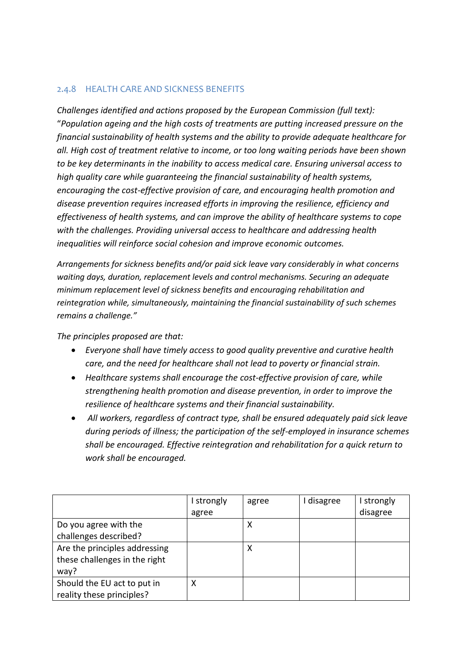#### <span id="page-21-0"></span>2.4.8 HEALTH CARE AND SICKNESS BENEFITS

*Challenges identified and actions proposed by the European Commission (full text):* "*Population ageing and the high costs of treatments are putting increased pressure on the financial sustainability of health systems and the ability to provide adequate healthcare for all. High cost of treatment relative to income, or too long waiting periods have been shown to be key determinants in the inability to access medical care. Ensuring universal access to high quality care while guaranteeing the financial sustainability of health systems, encouraging the cost-effective provision of care, and encouraging health promotion and disease prevention requires increased efforts in improving the resilience, efficiency and effectiveness of health systems, and can improve the ability of healthcare systems to cope with the challenges. Providing universal access to healthcare and addressing health inequalities will reinforce social cohesion and improve economic outcomes.*

*Arrangements for sickness benefits and/or paid sick leave vary considerably in what concerns waiting days, duration, replacement levels and control mechanisms. Securing an adequate minimum replacement level of sickness benefits and encouraging rehabilitation and reintegration while, simultaneously, maintaining the financial sustainability of such schemes remains a challenge."*

*The principles proposed are that:*

- *Everyone shall have timely access to good quality preventive and curative health care, and the need for healthcare shall not lead to poverty or financial strain.*
- *Healthcare systems shall encourage the cost-effective provision of care, while strengthening health promotion and disease prevention, in order to improve the resilience of healthcare systems and their financial sustainability.*
- *All workers, regardless of contract type, shall be ensured adequately paid sick leave during periods of illness; the participation of the self-employed in insurance schemes shall be encouraged. Effective reintegration and rehabilitation for a quick return to work shall be encouraged.*

|                               | strongly | agree | I disagree | I strongly |
|-------------------------------|----------|-------|------------|------------|
|                               | agree    |       |            | disagree   |
| Do you agree with the         |          | Χ     |            |            |
| challenges described?         |          |       |            |            |
| Are the principles addressing |          | χ     |            |            |
| these challenges in the right |          |       |            |            |
| way?                          |          |       |            |            |
| Should the EU act to put in   | х        |       |            |            |
| reality these principles?     |          |       |            |            |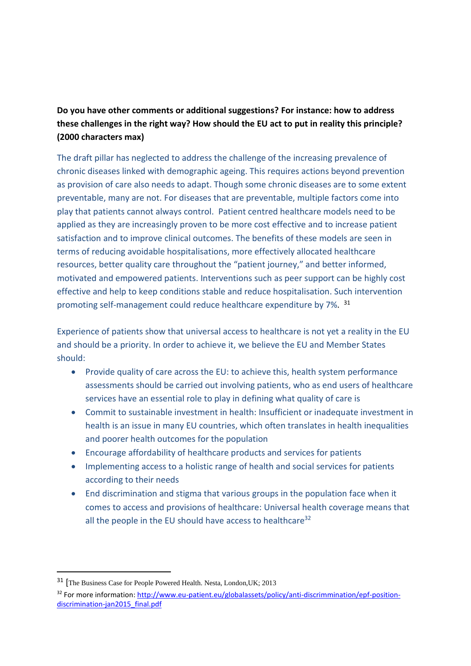**Do you have other comments or additional suggestions? For instance: how to address these challenges in the right way? How should the EU act to put in reality this principle? (2000 characters max)**

The draft pillar has neglected to address the challenge of the increasing prevalence of chronic diseases linked with demographic ageing. This requires actions beyond prevention as provision of care also needs to adapt. Though some chronic diseases are to some extent preventable, many are not. For diseases that are preventable, multiple factors come into play that patients cannot always control. Patient centred healthcare models need to be applied as they are increasingly proven to be more cost effective and to increase patient satisfaction and to improve clinical outcomes. The benefits of these models are seen in terms of reducing avoidable hospitalisations, more effectively allocated healthcare resources, better quality care throughout the "patient journey," and better informed, motivated and empowered patients. Interventions such as peer support can be highly cost effective and help to keep conditions stable and reduce hospitalisation. Such intervention promoting self-management could reduce healthcare expenditure by 7%. <sup>31</sup>

Experience of patients show that universal access to healthcare is not yet a reality in the EU and should be a priority. In order to achieve it, we believe the EU and Member States should:

- Provide quality of care across the EU: to achieve this, health system performance assessments should be carried out involving patients, who as end users of healthcare services have an essential role to play in defining what quality of care is
- Commit to sustainable investment in health: Insufficient or inadequate investment in health is an issue in many EU countries, which often translates in health inequalities and poorer health outcomes for the population
- Encourage affordability of healthcare products and services for patients
- Implementing access to a holistic range of health and social services for patients according to their needs
- End discrimination and stigma that various groups in the population face when it comes to access and provisions of healthcare: Universal health coverage means that all the people in the EU should have access to healthcare<sup>32</sup>

<sup>31</sup> [The Business Case for People Powered Health. Nesta, London,UK; 2013

<sup>&</sup>lt;sup>32</sup> For more information[: http://www.eu-patient.eu/globalassets/policy/anti-discrimmination/epf-position](http://www.eu-patient.eu/globalassets/policy/anti-discrimmination/epf-position-discrimination-jan2015_final.pdf)[discrimination-jan2015\\_final.pdf](http://www.eu-patient.eu/globalassets/policy/anti-discrimmination/epf-position-discrimination-jan2015_final.pdf)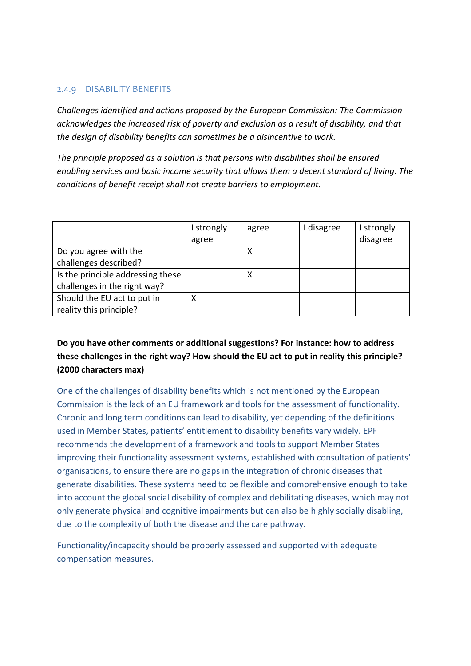#### <span id="page-23-0"></span>2.4.9 DISABILITY BENEFITS

*Challenges identified and actions proposed by the European Commission: The Commission acknowledges the increased risk of poverty and exclusion as a result of disability, and that the design of disability benefits can sometimes be a disincentive to work.*

*The principle proposed as a solution is that persons with disabilities shall be ensured enabling services and basic income security that allows them a decent standard of living. The conditions of benefit receipt shall not create barriers to employment.*

|                                   | strongly<br>agree | agree | I disagree | I strongly<br>disagree |
|-----------------------------------|-------------------|-------|------------|------------------------|
| Do you agree with the             |                   | х     |            |                        |
| challenges described?             |                   |       |            |                        |
| Is the principle addressing these |                   | ⋏     |            |                        |
| challenges in the right way?      |                   |       |            |                        |
| Should the EU act to put in       | х                 |       |            |                        |
| reality this principle?           |                   |       |            |                        |

**Do you have other comments or additional suggestions? For instance: how to address these challenges in the right way? How should the EU act to put in reality this principle? (2000 characters max)**

One of the challenges of disability benefits which is not mentioned by the European Commission is the lack of an EU framework and tools for the assessment of functionality. Chronic and long term conditions can lead to disability, yet depending of the definitions used in Member States, patients' entitlement to disability benefits vary widely. EPF recommends the development of a framework and tools to support Member States improving their functionality assessment systems, established with consultation of patients' organisations, to ensure there are no gaps in the integration of chronic diseases that generate disabilities. These systems need to be flexible and comprehensive enough to take into account the global social disability of complex and debilitating diseases, which may not only generate physical and cognitive impairments but can also be highly socially disabling, due to the complexity of both the disease and the care pathway.

Functionality/incapacity should be properly assessed and supported with adequate compensation measures.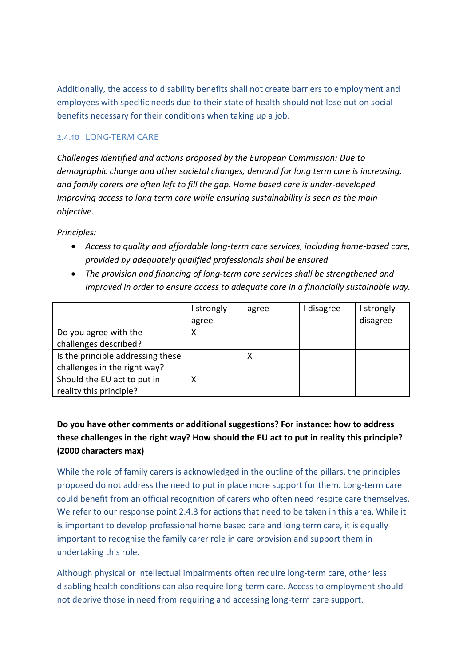Additionally, the access to disability benefits shall not create barriers to employment and employees with specific needs due to their state of health should not lose out on social benefits necessary for their conditions when taking up a job.

#### <span id="page-24-0"></span>2.4.10 LONG-TERM CARE

*Challenges identified and actions proposed by the European Commission: Due to demographic change and other societal changes, demand for long term care is increasing, and family carers are often left to fill the gap. Home based care is under-developed. Improving access to long term care while ensuring sustainability is seen as the main objective.*

*Principles:*

- *Access to quality and affordable long-term care services, including home-based care, provided by adequately qualified professionals shall be ensured*
- *The provision and financing of long-term care services shall be strengthened and improved in order to ensure access to adequate care in a financially sustainable way.*

|                                   | I strongly | agree | I disagree | I strongly |
|-----------------------------------|------------|-------|------------|------------|
|                                   | agree      |       |            | disagree   |
| Do you agree with the             | х          |       |            |            |
| challenges described?             |            |       |            |            |
| Is the principle addressing these |            | ⋏     |            |            |
| challenges in the right way?      |            |       |            |            |
| Should the EU act to put in       | л          |       |            |            |
| reality this principle?           |            |       |            |            |

## **Do you have other comments or additional suggestions? For instance: how to address these challenges in the right way? How should the EU act to put in reality this principle? (2000 characters max)**

While the role of family carers is acknowledged in the outline of the pillars, the principles proposed do not address the need to put in place more support for them. Long-term care could benefit from an official recognition of carers who often need respite care themselves. We refer to our response point 2.4.3 for actions that need to be taken in this area. While it is important to develop professional home based care and long term care, it is equally important to recognise the family carer role in care provision and support them in undertaking this role.

Although physical or intellectual impairments often require long-term care, other less disabling health conditions can also require long-term care. Access to employment should not deprive those in need from requiring and accessing long-term care support.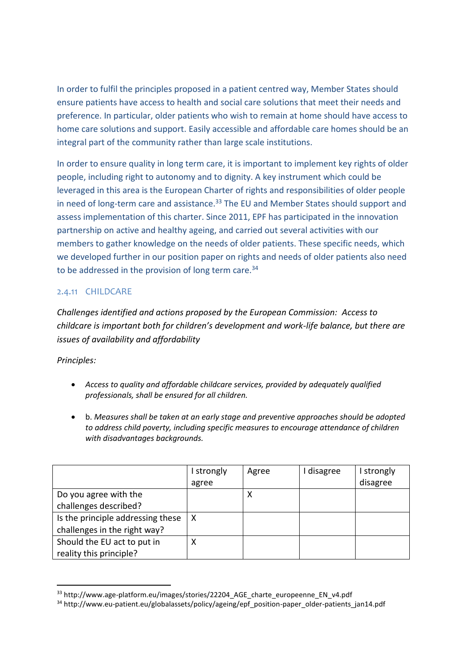In order to fulfil the principles proposed in a patient centred way, Member States should ensure patients have access to health and social care solutions that meet their needs and preference. In particular, older patients who wish to remain at home should have access to home care solutions and support. Easily accessible and affordable care homes should be an integral part of the community rather than large scale institutions.

In order to ensure quality in long term care, it is important to implement key rights of older people, including right to autonomy and to dignity. A key instrument which could be leveraged in this area is the European Charter of rights and responsibilities of older people in need of long-term care and assistance.<sup>33</sup> The EU and Member States should support and assess implementation of this charter. Since 2011, EPF has participated in the innovation partnership on active and healthy ageing, and carried out several activities with our members to gather knowledge on the needs of older patients. These specific needs, which we developed further in our position paper on rights and needs of older patients also need to be addressed in the provision of long term care.<sup>34</sup>

#### <span id="page-25-0"></span>2.4.11 CHILDCARE

*Challenges identified and actions proposed by the European Commission: Access to childcare is important both for children's development and work-life balance, but there are issues of availability and affordability*

#### *Principles:*

- *Access to quality and affordable childcare services, provided by adequately qualified professionals, shall be ensured for all children.*
- b. *Measures shall be taken at an early stage and preventive approaches should be adopted to address child poverty, including specific measures to encourage attendance of children with disadvantages backgrounds.*

|                                   | I strongly | Agree | I disagree | strongly |
|-----------------------------------|------------|-------|------------|----------|
|                                   | agree      |       |            | disagree |
| Do you agree with the             |            | ⋏     |            |          |
| challenges described?             |            |       |            |          |
| Is the principle addressing these | х          |       |            |          |
| challenges in the right way?      |            |       |            |          |
| Should the EU act to put in       |            |       |            |          |
| reality this principle?           |            |       |            |          |

<sup>33</sup> http://www.age-platform.eu/images/stories/22204 AGE charte europeenne EN\_v4.pdf

<sup>&</sup>lt;sup>34</sup> http://www.eu-patient.eu/globalassets/policy/ageing/epf\_position-paper\_older-patients\_jan14.pdf